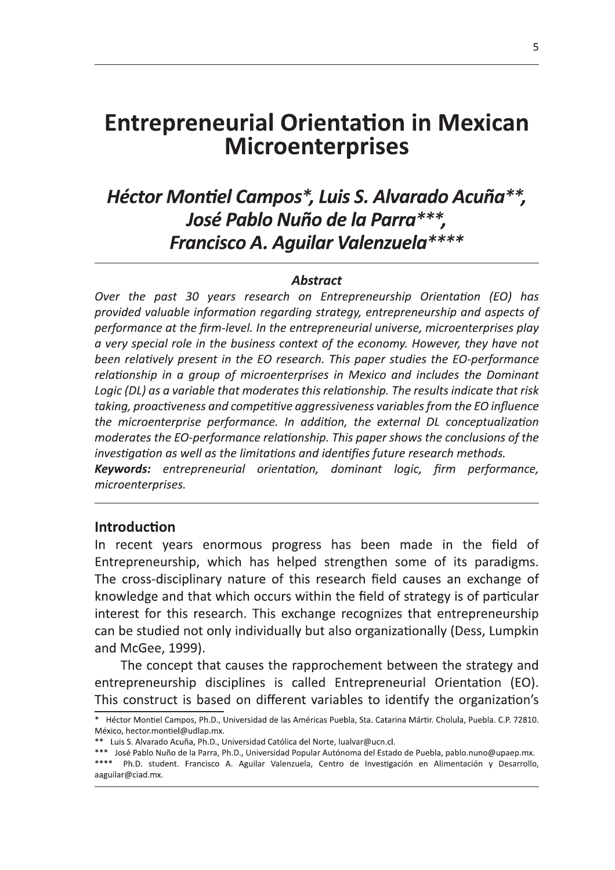# **Entrepreneurial Orientation in Mexican Microenterprises**

## Héctor Montiel Campos\*, Luis S. Alvarado Acuña\*\*, José Pablo Nuño de la Parra \*\*\*. **Francisco A. Aguilar Valenzuela\*\*\*\***

#### **Abstract**

Over the past 30 years research on Entrepreneurship Orientation (EO) has provided valuable information regarding strategy, entrepreneurship and aspects of performance at the firm-level. In the entrepreneurial universe, microenterprises play a very special role in the business context of the economy. However, they have not been relatively present in the EO research. This paper studies the EO-performance relationship in a group of microenterprises in Mexico and includes the Dominant Logic (DL) as a variable that moderates this relationship. The results indicate that risk taking, proactiveness and competitive aggressiveness variables from the EO influence the microenterprise performance. In addition, the external DL conceptualization moderates the EO-performance relationship. This paper shows the conclusions of the investigation as well as the limitations and identifies future research methods. Keywords: entrepreneurial orientation, dominant logic, firm performance, microenterprises.

#### **Introduction**

In recent years enormous progress has been made in the field of Entrepreneurship, which has helped strengthen some of its paradigms. The cross-disciplinary nature of this research field causes an exchange of knowledge and that which occurs within the field of strategy is of particular interest for this research. This exchange recognizes that entrepreneurship can be studied not only individually but also organizationally (Dess, Lumpkin and McGee, 1999).

The concept that causes the rapprochement between the strategy and entrepreneurship disciplines is called Entrepreneurial Orientation (EO). This construct is based on different variables to identify the organization's

<sup>\*</sup> Héctor Montiel Campos, Ph.D., Universidad de las Américas Puebla, Sta, Catarina Mártir, Cholula, Puebla, C.P. 72810, México, hector.montiel@udlap.mx.

<sup>\*\*</sup> Luis S. Alvarado Acuña, Ph.D., Universidad Católica del Norte, lualvar@ucn.cl.

<sup>\*\*\*</sup> José Pablo Nuño de la Parra, Ph.D., Universidad Popular Autónoma del Estado de Puebla, pablo.nuno@upaep.mx. \*\*\*\* Ph.D. student. Francisco A. Aguilar Valenzuela, Centro de Investigación en Alimentación y Desarrollo, aaguilar@ciad.mx.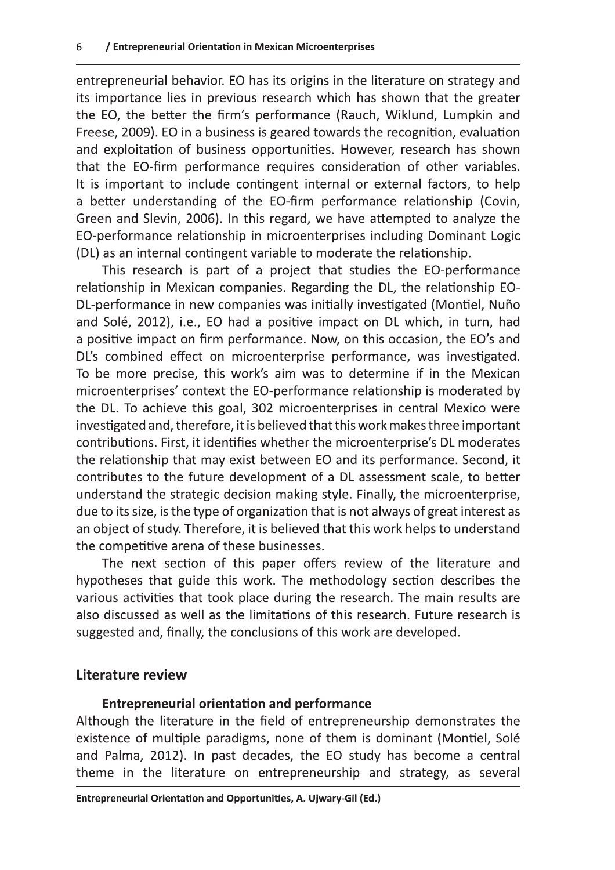entrepreneurial behavior. EO has its origins in the literature on strategy and its importance lies in previous research which has shown that the greater the EO, the better the firm's performance (Rauch, Wiklund, Lumpkin and Freese, 2009). EO in a business is geared towards the recognition, evaluation and exploitation of business opportunities. However, research has shown that the EO-firm performance requires consideration of other variables. It is important to include contingent internal or external factors, to help a better understanding of the EO-firm performance relationship (Covin, Green and Slevin, 2006). In this regard, we have attempted to analyze the EO-performance relationship in microenterprises including Dominant Logic (DL) as an internal contingent variable to moderate the relationship.

This research is part of a project that studies the EO-performance relationship in Mexican companies. Regarding the DL, the relationship EO-DL-performance in new companies was initially investigated (Montiel, Nuño and Solé, 2012), i.e., EO had a positive impact on DL which, in turn, had a positive impact on firm performance. Now, on this occasion, the EO's and DL's combined effect on microenterprise performance, was investigated. To be more precise, this work's aim was to determine if in the Mexican microenterprises' context the EO-performance relationship is moderated by the DL. To achieve this goal, 302 microenterprises in central Mexico were investigated and, therefore, it is believed that this work makes three important contributions. First, it identifies whether the microenterprise's DL moderates the relationship that may exist between EO and its performance. Second, it contributes to the future development of a DL assessment scale, to better understand the strategic decision making style. Finally, the microenterprise, due to its size, is the type of organization that is not always of great interest as an object of study. Therefore, it is believed that this work helps to understand the competitive arena of these businesses.

The next section of this paper offers review of the literature and hypotheses that guide this work. The methodology section describes the various activities that took place during the research. The main results are also discussed as well as the limitations of this research. Future research is suggested and, finally, the conclusions of this work are developed.

## Literature review

#### **Entrepreneurial orientation and performance**

Although the literature in the field of entrepreneurship demonstrates the existence of multiple paradigms, none of them is dominant (Montiel, Solé and Palma, 2012). In past decades, the EO study has become a central theme in the literature on entrepreneurship and strategy, as several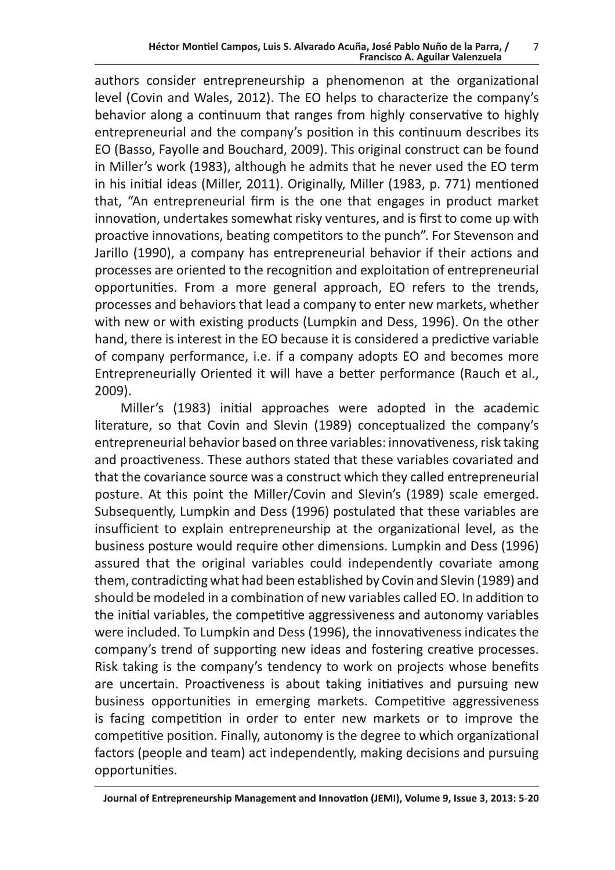authors consider entrepreneurship a phenomenon at the organizational level (Covin and Wales, 2012). The EO helps to characterize the company's behavior along a continuum that ranges from highly conservative to highly entrepreneurial and the company's position in this continuum describes its EO (Basso, Fayolle and Bouchard, 2009). This original construct can be found in Miller's work (1983), although he admits that he never used the EO term in his initial ideas (Miller, 2011). Originally, Miller (1983, p. 771) mentioned that, "An entrepreneurial firm is the one that engages in product market innovation, undertakes somewhat risky ventures, and is first to come up with proactive innovations, beating competitors to the punch". For Stevenson and Jarillo (1990), a company has entrepreneurial behavior if their actions and processes are oriented to the recognition and exploitation of entrepreneurial opportunities. From a more general approach, EO refers to the trends, processes and behaviors that lead a company to enter new markets, whether with new or with existing products (Lumpkin and Dess, 1996). On the other hand, there is interest in the EO because it is considered a predictive variable of company performance, i.e. if a company adopts EO and becomes more Entrepreneurially Oriented it will have a better performance (Rauch et al., 2009).

Miller's (1983) initial approaches were adopted in the academic literature, so that Covin and Slevin (1989) conceptualized the company's entrepreneurial behavior based on three variables: innovativeness, risk taking and proactiveness. These authors stated that these variables covariated and that the covariance source was a construct which they called entrepreneurial posture. At this point the Miller/Covin and Slevin's (1989) scale emerged. Subsequently, Lumpkin and Dess (1996) postulated that these variables are insufficient to explain entrepreneurship at the organizational level, as the business posture would require other dimensions. Lumpkin and Dess (1996) assured that the original variables could independently covariate among them, contradicting what had been established by Covin and Slevin (1989) and should be modeled in a combination of new variables called EO. In addition to the initial variables, the competitive aggressiveness and autonomy variables were included. To Lumpkin and Dess (1996), the innovativeness indicates the company's trend of supporting new ideas and fostering creative processes. Risk taking is the company's tendency to work on projects whose benefits are uncertain. Proactiveness is about taking initiatives and pursuing new business opportunities in emerging markets. Competitive aggressiveness is facing competition in order to enter new markets or to improve the competitive position. Finally, autonomy is the degree to which organizational factors (people and team) act independently, making decisions and pursuing opportunities.

Journal of Entrepreneurship Management and Innovation (JEMI), Volume 9, Issue 3, 2013: 5-20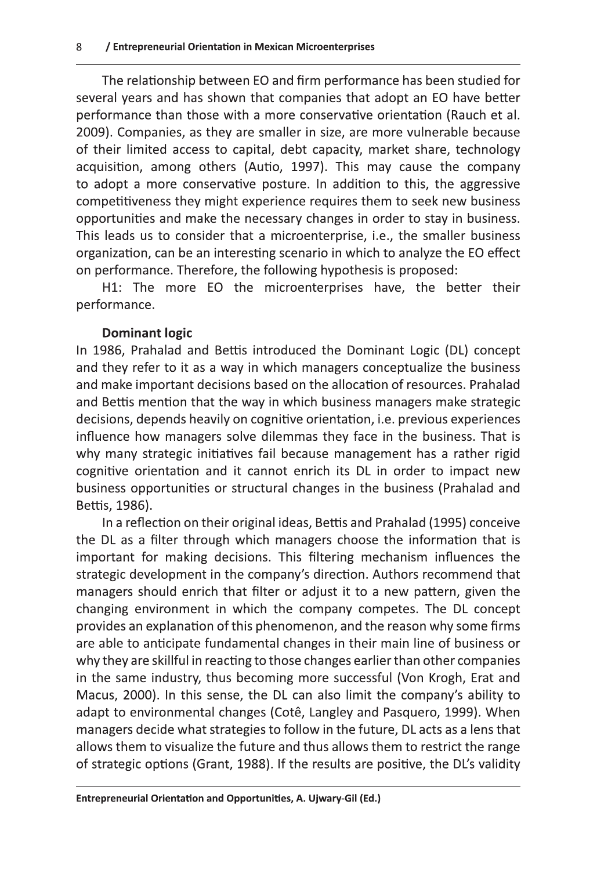The relationship between EO and firm performance has been studied for several years and has shown that companies that adopt an EO have better performance than those with a more conservative orientation (Rauch et al. 2009). Companies, as they are smaller in size, are more vulnerable because of their limited access to capital, debt capacity, market share, technology acquisition, among others (Autio, 1997). This may cause the company to adopt a more conservative posture. In addition to this, the aggressive competitiveness they might experience requires them to seek new business opportunities and make the necessary changes in order to stay in business. This leads us to consider that a microenterprise, i.e., the smaller business organization, can be an interesting scenario in which to analyze the EO effect on performance. Therefore, the following hypothesis is proposed:

H1: The more EO the microenterprises have, the better their performance.

## **Dominant logic**

In 1986, Prahalad and Bettis introduced the Dominant Logic (DL) concept and they refer to it as a way in which managers conceptualize the business and make important decisions based on the allocation of resources. Prahalad and Bettis mention that the way in which business managers make strategic decisions, depends heavily on cognitive orientation, i.e. previous experiences influence how managers solve dilemmas they face in the business. That is why many strategic initiatives fail because management has a rather rigid cognitive orientation and it cannot enrich its DL in order to impact new business opportunities or structural changes in the business (Prahalad and Bettis, 1986).

In a reflection on their original ideas, Bettis and Prahalad (1995) conceive the DL as a filter through which managers choose the information that is important for making decisions. This filtering mechanism influences the strategic development in the company's direction. Authors recommend that managers should enrich that filter or adjust it to a new pattern, given the changing environment in which the company competes. The DL concept provides an explanation of this phenomenon, and the reason why some firms are able to anticipate fundamental changes in their main line of business or why they are skillful in reacting to those changes earlier than other companies in the same industry, thus becoming more successful (Von Krogh, Erat and Macus, 2000). In this sense, the DL can also limit the company's ability to adapt to environmental changes (Cotê, Langley and Pasquero, 1999). When managers decide what strategies to follow in the future, DL acts as a lens that allows them to visualize the future and thus allows them to restrict the range of strategic options (Grant, 1988). If the results are positive, the DL's validity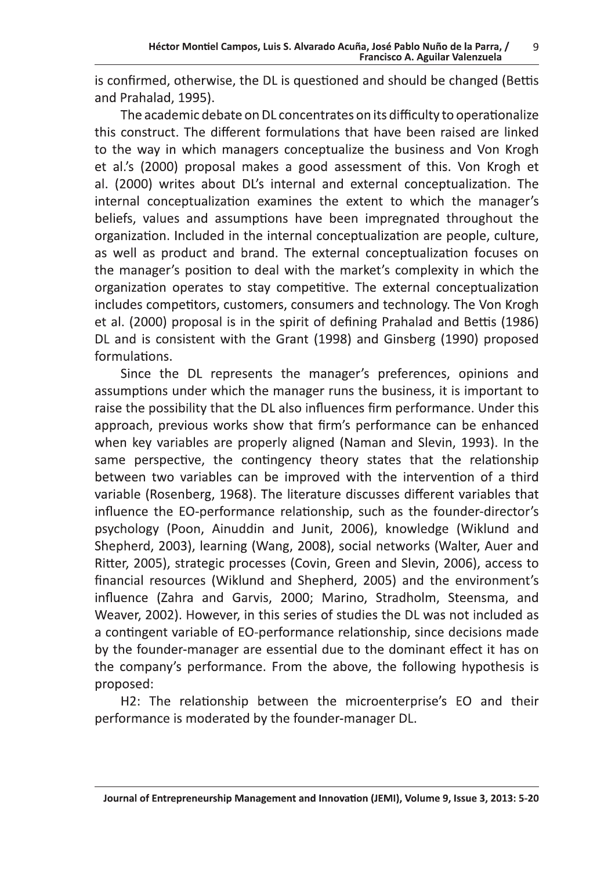is confirmed, otherwise, the DL is questioned and should be changed (Bettis and Prahalad, 1995).

The academic debate on DL concentrates on its difficulty to operationalize this construct. The different formulations that have been raised are linked to the way in which managers conceptualize the business and Von Krogh et al.'s (2000) proposal makes a good assessment of this. Von Krogh et al. (2000) writes about DL's internal and external conceptualization. The internal conceptualization examines the extent to which the manager's beliefs, values and assumptions have been impregnated throughout the organization. Included in the internal conceptualization are people, culture, as well as product and brand. The external conceptualization focuses on the manager's position to deal with the market's complexity in which the organization operates to stay competitive. The external conceptualization includes competitors, customers, consumers and technology. The Von Krogh et al. (2000) proposal is in the spirit of defining Prahalad and Bettis (1986) DL and is consistent with the Grant (1998) and Ginsberg (1990) proposed formulations.

Since the DL represents the manager's preferences, opinions and assumptions under which the manager runs the business, it is important to raise the possibility that the DL also influences firm performance. Under this approach, previous works show that firm's performance can be enhanced when key variables are properly aligned (Naman and Slevin, 1993). In the same perspective, the contingency theory states that the relationship between two variables can be improved with the intervention of a third variable (Rosenberg, 1968). The literature discusses different variables that influence the EO-performance relationship, such as the founder-director's psychology (Poon, Ainuddin and Junit, 2006), knowledge (Wiklund and Shepherd, 2003), learning (Wang, 2008), social networks (Walter, Auer and Ritter, 2005), strategic processes (Covin, Green and Slevin, 2006), access to financial resources (Wiklund and Shepherd, 2005) and the environment's influence (Zahra and Garvis, 2000; Marino, Stradholm, Steensma, and Weaver, 2002). However, in this series of studies the DL was not included as a contingent variable of EO-performance relationship, since decisions made by the founder-manager are essential due to the dominant effect it has on the company's performance. From the above, the following hypothesis is proposed:

H2: The relationship between the microenterprise's EO and their performance is moderated by the founder-manager DL.

Journal of Entrepreneurship Management and Innovation (JEMI), Volume 9, Issue 3, 2013: 5-20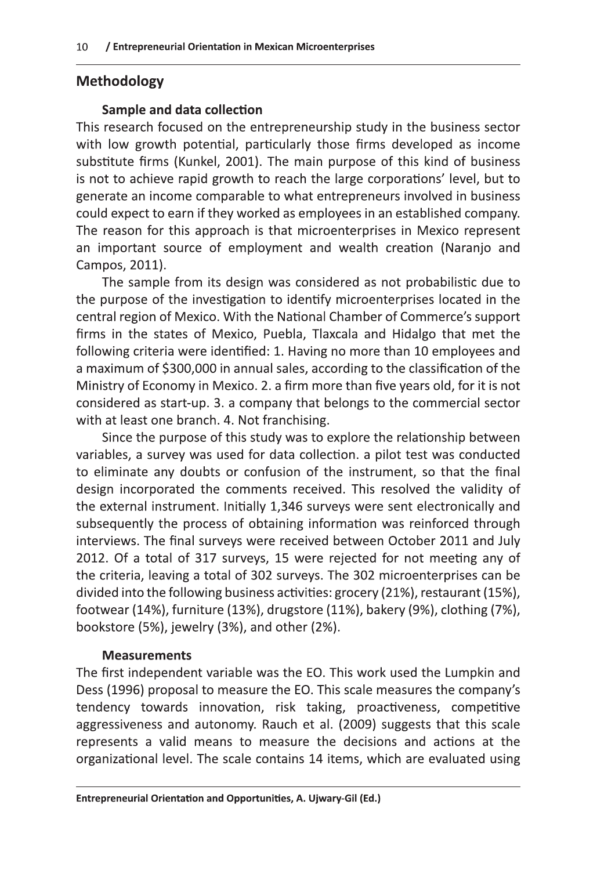## **Methodology**

#### **Sample and data collection**

This research focused on the entrepreneurship study in the business sector with low growth potential, particularly those firms developed as income substitute firms (Kunkel, 2001). The main purpose of this kind of business is not to achieve rapid growth to reach the large corporations' level, but to generate an income comparable to what entrepreneurs involved in business could expect to earn if they worked as employees in an established company. The reason for this approach is that microenterprises in Mexico represent an important source of employment and wealth creation (Naranjo and Campos, 2011).

The sample from its design was considered as not probabilistic due to the purpose of the investigation to identify microenterprises located in the central region of Mexico. With the National Chamber of Commerce's support firms in the states of Mexico, Puebla, Tlaxcala and Hidalgo that met the following criteria were identified: 1. Having no more than 10 employees and a maximum of \$300,000 in annual sales, according to the classification of the Ministry of Economy in Mexico. 2. a firm more than five years old, for it is not considered as start-up. 3. a company that belongs to the commercial sector with at least one branch. 4. Not franchising.

Since the purpose of this study was to explore the relationship between variables, a survey was used for data collection. a pilot test was conducted to eliminate any doubts or confusion of the instrument, so that the final design incorporated the comments received. This resolved the validity of the external instrument. Initially 1,346 surveys were sent electronically and subsequently the process of obtaining information was reinforced through interviews. The final surveys were received between October 2011 and July 2012. Of a total of 317 surveys, 15 were rejected for not meeting any of the criteria, leaving a total of 302 surveys. The 302 microenterprises can be divided into the following business activities: grocery (21%), restaurant (15%), footwear (14%), furniture (13%), drugstore (11%), bakery (9%), clothing (7%), bookstore (5%), jewelry (3%), and other (2%).

#### **Measurements**

The first independent variable was the EO. This work used the Lumpkin and Dess (1996) proposal to measure the EO. This scale measures the company's tendency towards innovation, risk taking, proactiveness, competitive aggressiveness and autonomy. Rauch et al. (2009) suggests that this scale represents a valid means to measure the decisions and actions at the organizational level. The scale contains 14 items, which are evaluated using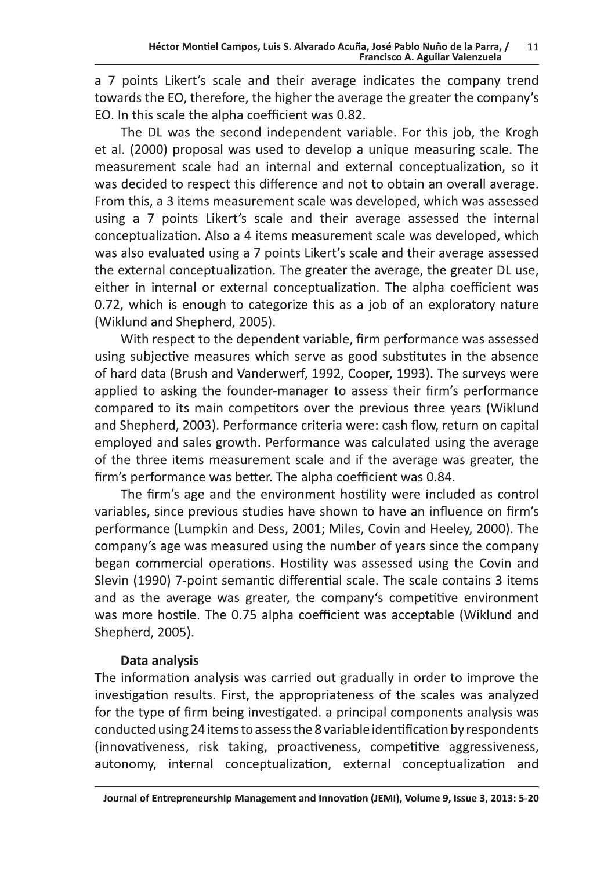a 7 points Likert's scale and their average indicates the company trend towards the EO, therefore, the higher the average the greater the company's EO. In this scale the alpha coefficient was 0.82.

The DL was the second independent variable. For this job, the Krogh et al. (2000) proposal was used to develop a unique measuring scale. The measurement scale had an internal and external conceptualization, so it was decided to respect this difference and not to obtain an overall average. From this, a 3 items measurement scale was developed, which was assessed using a 7 points Likert's scale and their average assessed the internal conceptualization. Also a 4 items measurement scale was developed, which was also evaluated using a 7 points Likert's scale and their average assessed the external conceptualization. The greater the average, the greater DL use, either in internal or external conceptualization. The alpha coefficient was 0.72, which is enough to categorize this as a job of an exploratory nature (Wiklund and Shepherd, 2005).

With respect to the dependent variable, firm performance was assessed using subjective measures which serve as good substitutes in the absence of hard data (Brush and Vanderwerf, 1992, Cooper, 1993). The surveys were applied to asking the founder-manager to assess their firm's performance compared to its main competitors over the previous three years (Wiklund and Shepherd, 2003). Performance criteria were: cash flow, return on capital employed and sales growth. Performance was calculated using the average of the three items measurement scale and if the average was greater, the firm's performance was better. The alpha coefficient was 0.84.

The firm's age and the environment hostility were included as control variables, since previous studies have shown to have an influence on firm's performance (Lumpkin and Dess, 2001; Miles, Covin and Heeley, 2000). The company's age was measured using the number of years since the company began commercial operations. Hostility was assessed using the Covin and Slevin (1990) 7-point semantic differential scale. The scale contains 3 items and as the average was greater, the company's competitive environment was more hostile. The 0.75 alpha coefficient was acceptable (Wiklund and Shepherd, 2005).

## Data analysis

The information analysis was carried out gradually in order to improve the investigation results. First, the appropriateness of the scales was analyzed for the type of firm being investigated, a principal components analysis was conducted using 24 items to assess the 8 variable identification by respondents (innovativeness, risk taking, proactiveness, competitive aggressiveness, autonomy, internal conceptualization, external conceptualization and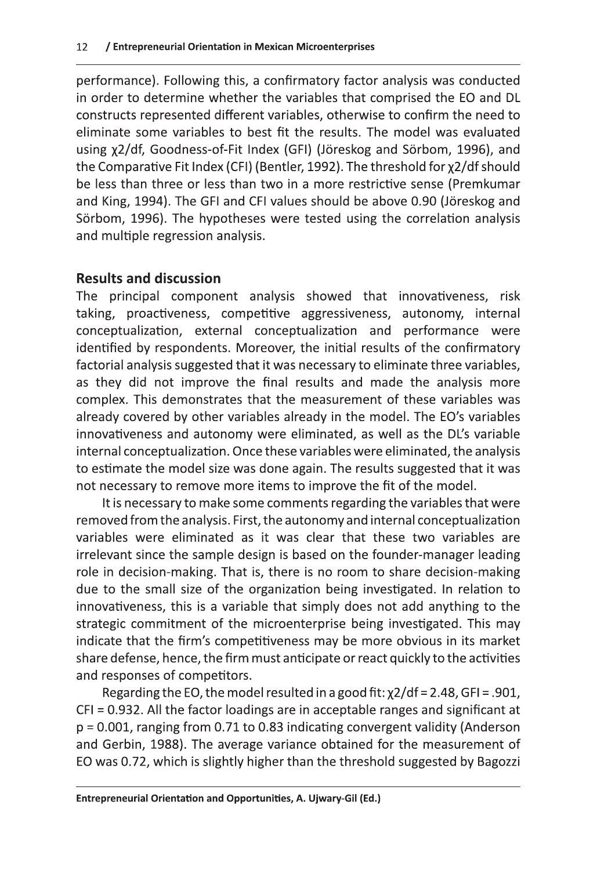performance). Following this, a confirmatory factor analysis was conducted in order to determine whether the variables that comprised the EO and DL constructs represented different variables, otherwise to confirm the need to eliminate some variables to best fit the results. The model was evaluated using x2/df, Goodness-of-Fit Index (GFI) (Jöreskog and Sörbom, 1996), and the Comparative Fit Index (CFI) (Bentler, 1992). The threshold for x2/df should be less than three or less than two in a more restrictive sense (Premkumar and King, 1994). The GFI and CFI values should be above 0.90 (Jöreskog and Sörbom, 1996). The hypotheses were tested using the correlation analysis and multiple regression analysis.

## **Results and discussion**

The principal component analysis showed that innovativeness, risk taking, proactiveness, competitive aggressiveness, autonomy, internal conceptualization, external conceptualization and performance were identified by respondents. Moreover, the initial results of the confirmatory factorial analysis suggested that it was necessary to eliminate three variables, as they did not improve the final results and made the analysis more complex. This demonstrates that the measurement of these variables was already covered by other variables already in the model. The EO's variables innovativeness and autonomy were eliminated, as well as the DL's variable internal conceptualization. Once these variables were eliminated, the analysis to estimate the model size was done again. The results suggested that it was not necessary to remove more items to improve the fit of the model.

It is necessary to make some comments regarding the variables that were removed from the analysis. First, the autonomy and internal conceptualization variables were eliminated as it was clear that these two variables are irrelevant since the sample design is based on the founder-manager leading role in decision-making. That is, there is no room to share decision-making due to the small size of the organization being investigated. In relation to innovativeness, this is a variable that simply does not add anything to the strategic commitment of the microenterprise being investigated. This may indicate that the firm's competitiveness may be more obvious in its market share defense, hence, the firm must anticipate or react quickly to the activities and responses of competitors.

Regarding the EO, the model resulted in a good fit:  $\chi$ 2/df = 2.48, GFI = .901, CFI = 0.932. All the factor loadings are in acceptable ranges and significant at p = 0.001, ranging from 0.71 to 0.83 indicating convergent validity (Anderson and Gerbin, 1988). The average variance obtained for the measurement of EO was 0.72, which is slightly higher than the threshold suggested by Bagozzi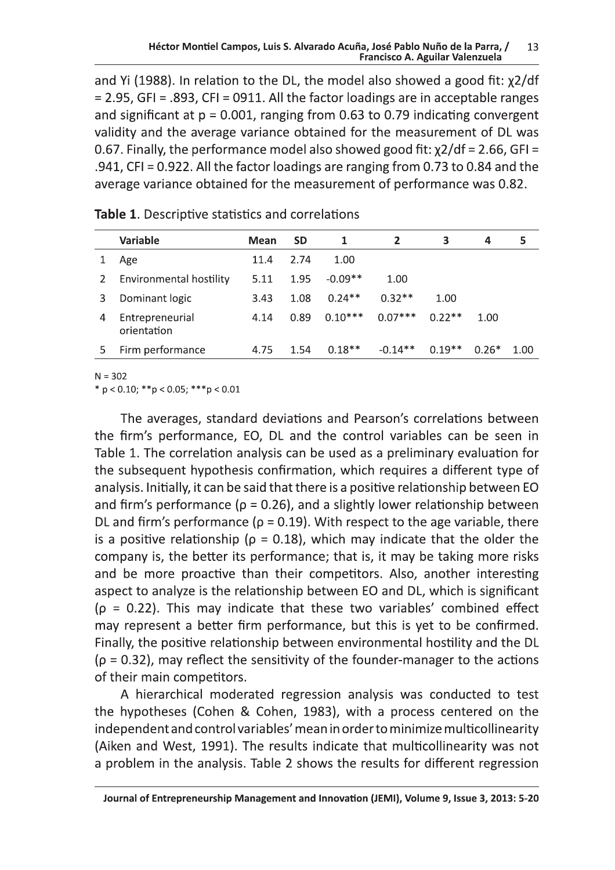Héctor Montiel Campos, L<br>
and Yi (1988). In relation to th<br>
= 2.95, GFI = .893, CFI = 0911.<br>
and significant at  $p = 0.001$ , ra<br>
validity and the average varia<br>
0.67. Finally, the performance is S. Alvarado Acuña, José Pablo Nuño de la Parra<br>Francisco A. Aguilar Valenzuel<br>2 DL, the model also showed a good fi<br>1 ll the factor loadings are in acceptable<br>1 nging from 0.63 to 0.79 indicating convice obtained for t and Yi (1988). In relation to the DL, the model also showed a good fit:  $\chi$ 2/df  $=$  2.95, GFI = .893, CFI = 0911. All the factor loadings are in acceptable ranges and significant at  $p = 0.001$ , ranging from 0.63 to 0.79 indicating convergent validity and the average variance obtained for the measurement of DL was 0.67. Finally, the performance model also showed good fit:  $\chi$ 2/df = 2.66, GFI =  $:941,$  CFI = 0.922. All the factor loadings are ranging from 0.73 to 0.84 and the average variance obtained for the measurement of performance was 0.82.

|   | Variable                       | Mean | <b>SD</b> | 1         | $\overline{2}$ | 3        | 4       | 5    |
|---|--------------------------------|------|-----------|-----------|----------------|----------|---------|------|
|   | Age                            | 11.4 | 2.74      | 1.00      |                |          |         |      |
|   | Environmental hostility        | 5.11 | 1.95      | $-0.09**$ | 1.00           |          |         |      |
|   | Dominant logic                 | 3.43 | 1.08      | $0.24**$  | $0.32**$       | 1.00     |         |      |
| 4 | Entrepreneurial<br>orientation | 4.14 | 0.89      | $0.10***$ | $0.07***$      | $0.22**$ | 1.00    |      |
|   | Firm performance               | 4.75 | 1.54      | $0.18**$  | $-0.14**$      | $0.19**$ | $0.26*$ | 1 NO |
|   |                                |      |           |           |                |          |         |      |

Table 1. Descriptive statistics and correlations

 $N = 302$ 

 $\ast p < 0.10; \ast \ast p < 0.05; \ast \ast \ast p < 0.01$ 

The averages, standard deviations and Pearson's correlations between the firm's performance, EO, DL and the control variables can be seen in Table 1. The correlation analysis can be used as a preliminary evaluation for the subsequent hypothesis confirmation, which requires a different type of analysis. Initially, it can be said that there is a positive relationship between EO and firm's performance ( $\rho = 0.26$ ), and a slightly lower relationship between DL and firm's performance ( $\rho$  = 0.19). With respect to the age variable, there is a positive relationship ( $\rho = 0.18$ ), which may indicate that the older the company is, the better its performance; that is, it may be taking more risks and be more proactive than their competitors. Also, another interesting aspect to analyze is the relationship between EO and DL, which is significant  $(p = 0.22)$ . This may indicate that these two variables' combined effect may represent a better firm performance, but this is yet to be confirmed. Finally, the positive relationship between environmental hostility and the DL  $(p = 0.32)$ , may reflect the sensitivity of the founder-manager to the actions of their main competitors.

A hierarchical moderated regression analysis was conducted to test the hypotheses (Cohen & Cohen, 1983), with a process centered on the independent and control variables' mean in order to minimize multicollinearity (Aiken and West, 1991). The results indicate that multicollinearity was not a problem in the analysis. Table 2 shows the results for different regression

Journal of Entrepreneurship Management and Innovation (JEMI), Volume 9, Issue 3, 2013: 5-20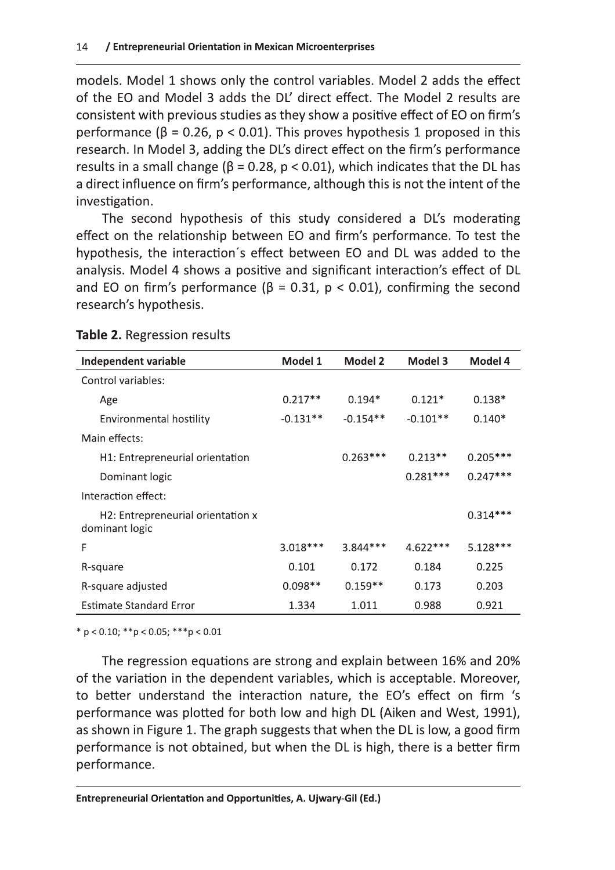models. Model 1 shows only the control variables. Model 2 adds the effect of the EO and Model 3 adds the DL' direct effect. The Model 2 results are consistent with previous studies as they show a positive effect of EO on firm's performance ( $\beta$  = 0.26,  $p$  < 0.01). This proves hypothesis 1 proposed in this research. In Model 3, adding the DL's direct effect on the firm's performance results in a small change ( $\beta$  = 0.28, p < 0.01), which indicates that the DL has a direct influence on firm's performance, although this is not the intent of the investigation.

The second hypothesis of this study considered a DL's moderating effect on the relationship between EO and firm's performance. To test the hypothesis, the interaction's effect between EO and DL was added to the analysis. Model 4 shows a positive and significant interaction's effect of DL and EO on firm's performance ( $\beta$  = 0.31, p < 0.01), confirming the second research's hypothesis.

| Independent variable                                | Model 1    | Model 2    | Model 3    | Model 4    |
|-----------------------------------------------------|------------|------------|------------|------------|
| Control variables:                                  |            |            |            |            |
| Age                                                 | $0.217**$  | $0.194*$   | $0.121*$   | $0.138*$   |
| <b>Environmental hostility</b>                      | $-0.131**$ | $-0.154**$ | $-0.101**$ | $0.140*$   |
| Main effects:                                       |            |            |            |            |
| H1: Entrepreneurial orientation                     |            | $0.263***$ | $0.213**$  | $0.205***$ |
| Dominant logic                                      |            |            | $0.281***$ | $0.247***$ |
| Interaction effect:                                 |            |            |            |            |
| H2: Entrepreneurial orientation x<br>dominant logic |            |            |            | $0.314***$ |
| F                                                   | $3.018***$ | $3.844***$ | $4.622***$ | $5.128***$ |
| R-square                                            | 0.101      | 0.172      | 0.184      | 0.225      |
| R-square adjusted                                   | $0.098**$  | $0.159**$  | 0.173      | 0.203      |
| <b>Estimate Standard Error</b>                      | 1.334      | 1.011      | 0.988      | 0.921      |

#### Table 2. Regression results

 $* p < 0.10; ** p < 0.05; ** p < 0.01$ 

The regression equations are strong and explain between 16% and 20% of the variation in the dependent variables, which is acceptable. Moreover, to better understand the interaction nature, the EO's effect on firm 's performance was plotted for both low and high DL (Aiken and West, 1991), as shown in Figure 1. The graph suggests that when the DL is low, a good firm performance is not obtained, but when the DL is high, there is a better firm performance.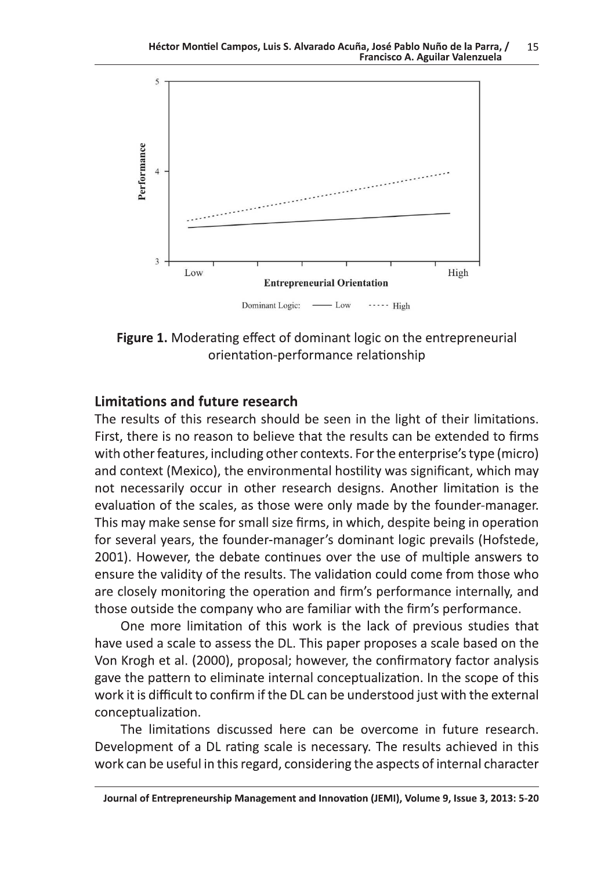

Figure 1. Moderating effect of dominant logic on the entrepreneurial orientation-performance relationship

### **Limitations and future research**

The results of this research should be seen in the light of their limitations. First, there is no reason to believe that the results can be extended to firms with other features, including other contexts. For the enterprise's type (micro) and context (Mexico), the environmental hostility was significant, which may not necessarily occur in other research designs. Another limitation is the evaluation of the scales, as those were only made by the founder-manager. This may make sense for small size firms, in which, despite being in operation for several years, the founder-manager's dominant logic prevails (Hofstede, 2001). However, the debate continues over the use of multiple answers to ensure the validity of the results. The validation could come from those who are closely monitoring the operation and firm's performance internally, and those outside the company who are familiar with the firm's performance.

One more limitation of this work is the lack of previous studies that have used a scale to assess the DL. This paper proposes a scale based on the Von Krogh et al. (2000), proposal; however, the confirmatory factor analysis gave the pattern to eliminate internal conceptualization. In the scope of this work it is difficult to confirm if the DL can be understood just with the external conceptualization.

The limitations discussed here can be overcome in future research. Development of a DL rating scale is necessary. The results achieved in this work can be useful in this regard, considering the aspects of internal character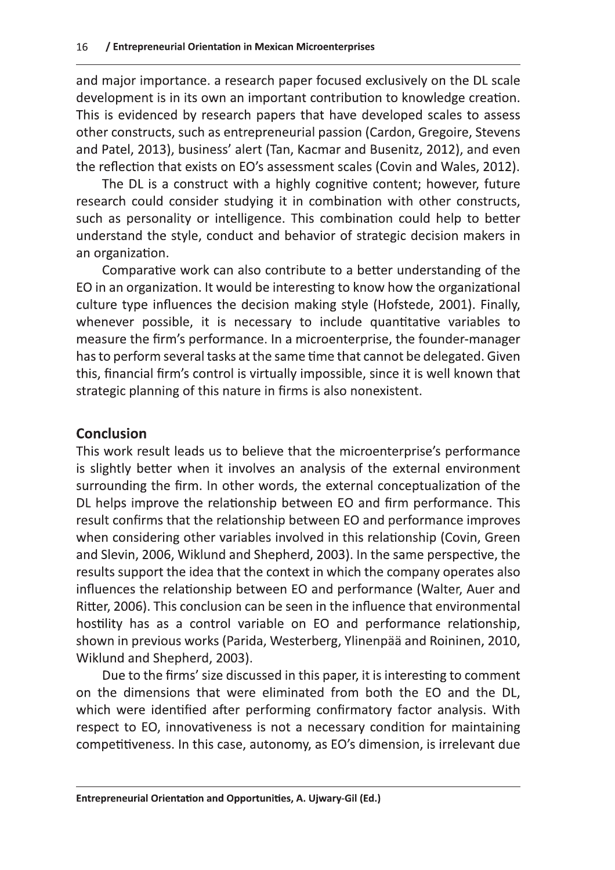and major importance. a research paper focused exclusively on the DL scale development is in its own an important contribution to knowledge creation. This is evidenced by research papers that have developed scales to assess other constructs, such as entrepreneurial passion (Cardon, Gregoire, Stevens and Patel, 2013), business' alert (Tan, Kacmar and Busenitz, 2012), and even the reflection that exists on EO's assessment scales (Covin and Wales, 2012).

The DL is a construct with a highly cognitive content; however, future research could consider studying it in combination with other constructs, such as personality or intelligence. This combination could help to better understand the style, conduct and behavior of strategic decision makers in an organization.

Comparative work can also contribute to a better understanding of the EO in an organization. It would be interesting to know how the organizational culture type influences the decision making style (Hofstede, 2001). Finally, whenever possible, it is necessary to include quantitative variables to measure the firm's performance. In a microenterprise, the founder-manager has to perform several tasks at the same time that cannot be delegated. Given this, financial firm's control is virtually impossible, since it is well known that strategic planning of this nature in firms is also nonexistent.

## **Conclusion**

This work result leads us to believe that the microenterprise's performance is slightly better when it involves an analysis of the external environment surrounding the firm. In other words, the external conceptualization of the DL helps improve the relationship between EO and firm performance. This result confirms that the relationship between EO and performance improves when considering other variables involved in this relationship (Covin, Green and Slevin, 2006, Wiklund and Shepherd, 2003). In the same perspective, the results support the idea that the context in which the company operates also influences the relationship between EO and performance (Walter, Auer and Ritter, 2006). This conclusion can be seen in the influence that environmental hostility has as a control variable on EO and performance relationship, shown in previous works (Parida, Westerberg, Ylinenpää and Roininen, 2010, Wiklund and Shepherd, 2003).

Due to the firms' size discussed in this paper, it is interesting to comment on the dimensions that were eliminated from both the EO and the DL, which were identified after performing confirmatory factor analysis. With respect to EO, innovativeness is not a necessary condition for maintaining competitiveness. In this case, autonomy, as EO's dimension, is irrelevant due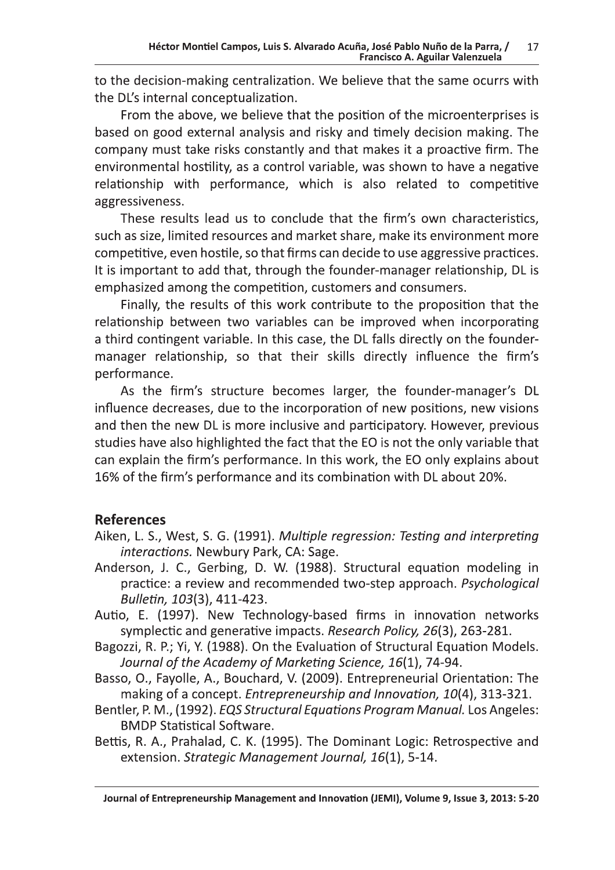to the decision-making centralization. We believe that the same ocurrs with the DL's internal conceptualization.

From the above, we believe that the position of the microenterprises is based on good external analysis and risky and timely decision making. The company must take risks constantly and that makes it a proactive firm. The environmental hostility, as a control variable, was shown to have a negative relationship with performance, which is also related to competitive aggressiveness.

These results lead us to conclude that the firm's own characteristics, such as size, limited resources and market share, make its environment more competitive, even hostile, so that firms can decide to use aggressive practices. It is important to add that, through the founder-manager relationship, DL is emphasized among the competition, customers and consumers.

Finally, the results of this work contribute to the proposition that the relationship between two variables can be improved when incorporating a third contingent variable. In this case, the DL falls directly on the foundermanager relationship, so that their skills directly influence the firm's performance.

As the firm's structure becomes larger, the founder-manager's DL influence decreases, due to the incorporation of new positions, new visions and then the new DL is more inclusive and participatory. However, previous studies have also highlighted the fact that the EO is not the only variable that can explain the firm's performance. In this work, the EO only explains about 16% of the firm's performance and its combination with DL about 20%.

## **References**

- Aiken, L. S., West, S. G. (1991). Multiple regression: Testing and interpreting interactions. Newbury Park, CA: Sage.
- Anderson, J. C., Gerbing, D. W. (1988). Structural equation modeling in practice: a review and recommended two-step approach. Psychological Bulletin, 103(3), 411-423.
- Autio, E. (1997). New Technology-based firms in innovation networks symplectic and generative impacts. Research Policy, 26(3), 263-281.
- Bagozzi, R. P.; Yi, Y. (1988). On the Evaluation of Structural Equation Models. Journal of the Academy of Marketing Science, 16(1), 74-94.
- Basso, O., Fayolle, A., Bouchard, V. (2009). Entrepreneurial Orientation: The making of a concept. Entrepreneurship and Innovation, 10(4), 313-321.
- Bentler, P. M., (1992). EQS Structural Equations Program Manual. Los Angeles: **BMDP Statistical Software.**
- Bettis, R. A., Prahalad, C. K. (1995). The Dominant Logic: Retrospective and extension. Strategic Management Journal, 16(1), 5-14.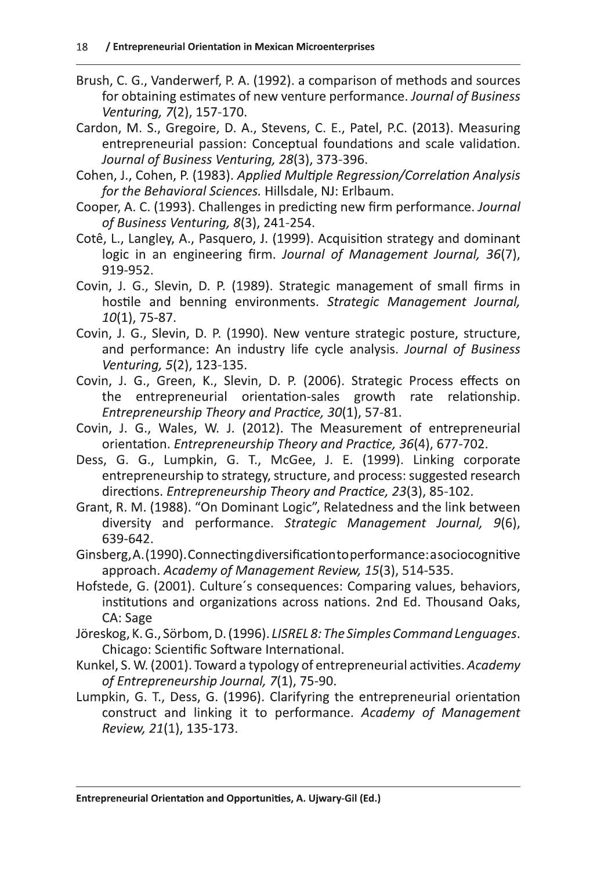- Brush, C. G., Vanderwerf, P. A. (1992). a comparison of methods and sources for obtaining estimates of new venture performance. Journal of Business Venturing, 7(2), 157-170.
- Cardon, M. S., Gregoire, D. A., Stevens, C. E., Patel, P.C. (2013). Measuring entrepreneurial passion: Conceptual foundations and scale validation. Journal of Business Venturing, 28(3), 373-396.
- Cohen, J., Cohen, P. (1983). Applied Multiple Regression/Correlation Analysis for the Behavioral Sciences. Hillsdale, NJ: Erlbaum.
- Cooper, A. C. (1993). Challenges in predicting new firm performance. Journal of Business Venturing, 8(3), 241-254.
- Cotê, L., Langley, A., Pasquero, J. (1999). Acquisition strategy and dominant logic in an engineering firm. Journal of Management Journal, 36(7), 919-952.
- Covin, J. G., Slevin, D. P. (1989). Strategic management of small firms in hostile and benning environments. Strategic Management Journal,  $10(1)$ , 75-87.
- Covin, J. G., Slevin, D. P. (1990). New venture strategic posture, structure, and performance: An industry life cycle analysis. Journal of Business Venturing, 5(2), 123-135.
- Covin, J. G., Green, K., Slevin, D. P. (2006). Strategic Process effects on the entrepreneurial orientation-sales growth rate relationship. Entrepreneurship Theory and Practice, 30(1), 57-81.
- Covin, J. G., Wales, W. J. (2012). The Measurement of entrepreneurial orientation. Entrepreneurship Theory and Practice, 36(4), 677-702.
- Dess, G. G., Lumpkin, G. T., McGee, J. E. (1999). Linking corporate entrepreneurship to strategy, structure, and process: suggested research directions. Entrepreneurship Theory and Practice, 23(3), 85-102.
- Grant, R. M. (1988). "On Dominant Logic", Relatedness and the link between diversity and performance. Strategic Management Journal, 9(6), 639-642.
- Ginsberg, A. (1990). Connecting diversification to performance: a sociocognitive approach. Academy of Management Review, 15(3), 514-535.
- Hofstede, G. (2001). Culture's consequences: Comparing values, behaviors, institutions and organizations across nations. 2nd Ed. Thousand Oaks, CA: Sage
- Jöreskog, K. G., Sörbom, D. (1996). LISREL 8: The Simples Command Lenguages. Chicago: Scientific Software International.
- Kunkel, S. W. (2001). Toward a typology of entrepreneurial activities. Academy of Entrepreneurship Journal, 7(1), 75-90.
- Lumpkin, G. T., Dess, G. (1996). Clarifyring the entrepreneurial orientation construct and linking it to performance. Academy of Management Review, 21(1), 135-173.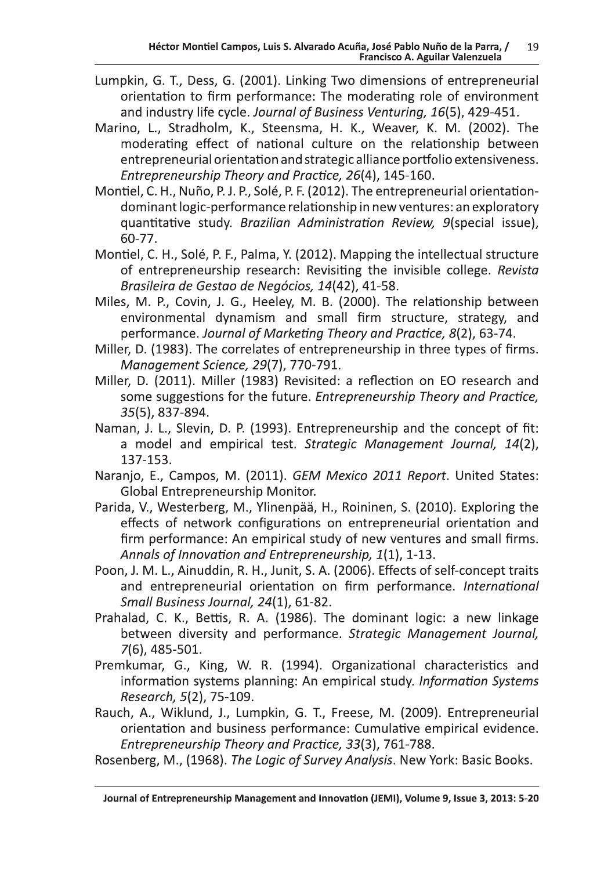- Lumpkin, G. T., Dess, G. (2001). Linking Two dimensions of entrepreneurial orientation to firm performance: The moderating role of environment and industry life cycle. Journal of Business Venturing, 16(5), 429-451.
- Marino, L., Stradholm, K., Steensma, H. K., Weaver, K. M. (2002). The moderating effect of national culture on the relationship between entrepreneurial orientation and strategic alliance portfolio extensiveness. Entrepreneurship Theory and Practice, 26(4), 145-160.
- Montiel, C. H., Nuño, P. J. P., Solé, P. F. (2012). The entrepreneurial orientationdominant logic-performance relationship in new ventures: an exploratory quantitative study. Brazilian Administration Review, 9(special issue). 60-77.
- Montiel, C. H., Solé, P. F., Palma, Y. (2012). Mapping the intellectual structure of entrepreneurship research: Revisiting the invisible college. Revista Brasileira de Gestao de Negócios, 14(42), 41-58.
- Miles, M. P., Covin, J. G., Heeley, M. B. (2000). The relationship between environmental dynamism and small firm structure, strategy, and performance. Journal of Marketing Theory and Practice, 8(2), 63-74.
- Miller, D. (1983). The correlates of entrepreneurship in three types of firms. Management Science, 29(7), 770-791.
- Miller, D. (2011). Miller (1983) Revisited: a reflection on EO research and some suggestions for the future. Entrepreneurship Theory and Practice, 35(5), 837-894.
- Naman, J. L., Slevin, D. P. (1993). Entrepreneurship and the concept of fit: a model and empirical test. Strategic Management Journal, 14(2), 137-153.
- Naranjo, E., Campos, M. (2011). GEM Mexico 2011 Report. United States: **Global Entrepreneurship Monitor.**
- Parida, V., Westerberg, M., Ylinenpää, H., Roininen, S. (2010). Exploring the effects of network configurations on entrepreneurial orientation and firm performance: An empirical study of new ventures and small firms. Annals of Innovation and Entrepreneurship, 1(1), 1-13.
- Poon, J. M. L., Ainuddin, R. H., Junit, S. A. (2006). Effects of self-concept traits and entrepreneurial orientation on firm performance. International Small Business Journal, 24(1), 61-82.
- Prahalad, C. K., Bettis, R. A. (1986). The dominant logic: a new linkage between diversity and performance. Strategic Management Journal,  $7(6)$ , 485-501.
- Premkumar, G., King, W. R. (1994). Organizational characteristics and information systems planning: An empirical study. Information Systems Research, 5(2), 75-109.
- Rauch, A., Wiklund, J., Lumpkin, G. T., Freese, M. (2009). Entrepreneurial orientation and business performance: Cumulative empirical evidence. Entrepreneurship Theory and Practice, 33(3), 761-788.
- Rosenberg, M., (1968). The Logic of Survey Analysis. New York: Basic Books.